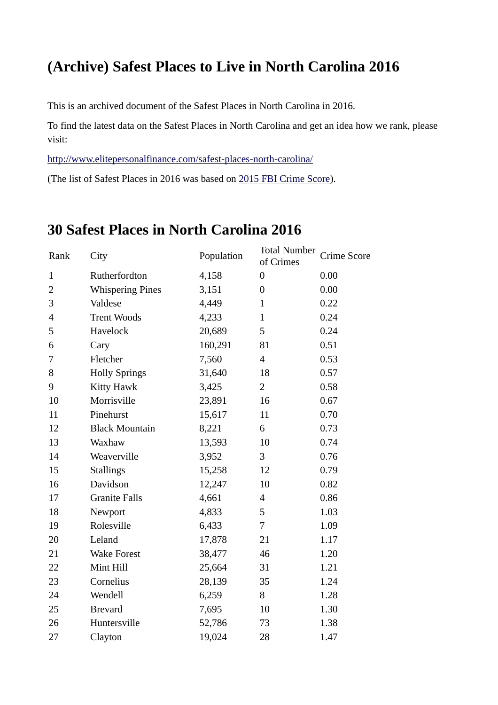## **(Archive) Safest Places to Live in North Carolina 2016**

This is an archived document of the Safest Places in North Carolina in 2016.

To find the latest data on the Safest Places in North Carolina and get an idea how we rank, please visit:

http://www.elitepersonalfinance.com/safest-places-north-carolina/

(The list of Safest Places in 2016 was based on [2015 FBI Crime Score\)](https://ucr.fbi.gov/crime-in-the-u.s/2015/crime-in-the-u.s.-2015/resource-pages/aboutcius_final).

## **30 Safest Places in North Carolina 2016**

| Rank           | City                    | Population | <b>Total Number</b><br>of Crimes | <b>Crime Score</b> |
|----------------|-------------------------|------------|----------------------------------|--------------------|
| $\mathbf{1}$   | Rutherfordton           | 4,158      | $\boldsymbol{0}$                 | 0.00               |
| $\overline{2}$ | <b>Whispering Pines</b> | 3,151      | $\boldsymbol{0}$                 | 0.00               |
| 3              | Valdese                 | 4,449      | $\mathbf{1}$                     | 0.22               |
| 4              | <b>Trent Woods</b>      | 4,233      | $\mathbf{1}$                     | 0.24               |
| 5              | Havelock                | 20,689     | 5                                | 0.24               |
| 6              | Cary                    | 160,291    | 81                               | 0.51               |
| 7              | Fletcher                | 7,560      | $\overline{\mathcal{A}}$         | 0.53               |
| 8              | <b>Holly Springs</b>    | 31,640     | 18                               | 0.57               |
| 9              | <b>Kitty Hawk</b>       | 3,425      | $\overline{2}$                   | 0.58               |
| 10             | Morrisville             | 23,891     | 16                               | 0.67               |
| 11             | Pinehurst               | 15,617     | 11                               | 0.70               |
| 12             | <b>Black Mountain</b>   | 8,221      | 6                                | 0.73               |
| 13             | Waxhaw                  | 13,593     | 10                               | 0.74               |
| 14             | Weaverville             | 3,952      | 3                                | 0.76               |
| 15             | <b>Stallings</b>        | 15,258     | 12                               | 0.79               |
| 16             | Davidson                | 12,247     | 10                               | 0.82               |
| 17             | <b>Granite Falls</b>    | 4,661      | $\overline{\mathcal{A}}$         | 0.86               |
| 18             | Newport                 | 4,833      | 5                                | 1.03               |
| 19             | Rolesville              | 6,433      | 7                                | 1.09               |
| 20             | Leland                  | 17,878     | 21                               | $1.17\,$           |
| 21             | <b>Wake Forest</b>      | 38,477     | 46                               | 1.20               |
| 22             | Mint Hill               | 25,664     | 31                               | 1.21               |
| 23             | Cornelius               | 28,139     | 35                               | 1.24               |
| 24             | Wendell                 | 6,259      | 8                                | 1.28               |
| 25             | <b>Brevard</b>          | 7,695      | 10                               | 1.30               |
| 26             | Huntersville            | 52,786     | 73                               | 1.38               |
| 27             | Clayton                 | 19,024     | 28                               | 1.47               |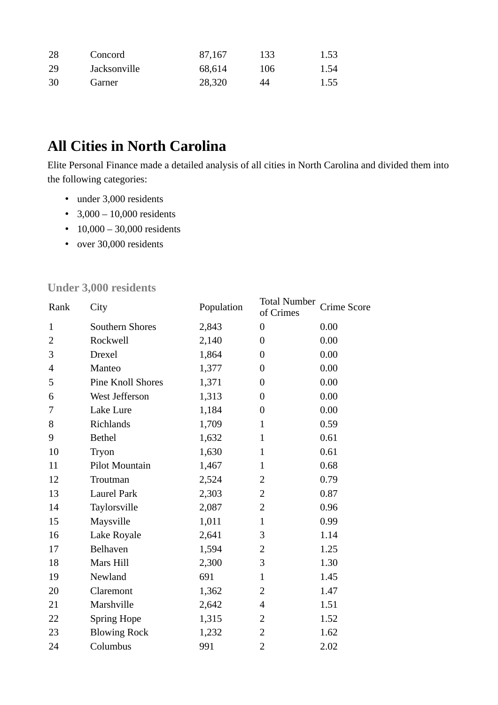| 28 | Concord      | 87,167 | 133 | 1.53 |
|----|--------------|--------|-----|------|
| 29 | Jacksonville | 68,614 | 106 | 1.54 |
| 30 | Garner       | 28,320 | 44  | 1.55 |

# **All Cities in North Carolina**

Elite Personal Finance made a detailed analysis of all cities in North Carolina and divided them into the following categories:

- under 3,000 residents
- $3,000 10,000$  residents
- 10,000 30,000 residents
- over 30,000 residents

| Rank           | City                | Population | <b>Total Number</b><br>of Crimes | Crime Score |
|----------------|---------------------|------------|----------------------------------|-------------|
| $\mathbf{1}$   | Southern Shores     | 2,843      | $\boldsymbol{0}$                 | 0.00        |
| $\overline{2}$ | Rockwell            | 2,140      | $\overline{0}$                   | 0.00        |
| 3              | <b>Drexel</b>       | 1,864      | 0                                | 0.00        |
| 4              | Manteo              | 1,377      | $\overline{0}$                   | 0.00        |
| 5              | Pine Knoll Shores   | 1,371      | $\boldsymbol{0}$                 | 0.00        |
| 6              | West Jefferson      | 1,313      | $\boldsymbol{0}$                 | 0.00        |
| 7              | Lake Lure           | 1,184      | $\boldsymbol{0}$                 | 0.00        |
| 8              | Richlands           | 1,709      | $\mathbf{1}$                     | 0.59        |
| 9              | <b>Bethel</b>       | 1,632      | $\mathbf{1}$                     | 0.61        |
| 10             | Tryon               | 1,630      | $\mathbf{1}$                     | 0.61        |
| 11             | Pilot Mountain      | 1,467      | $\mathbf{1}$                     | 0.68        |
| 12             | Troutman            | 2,524      | $\overline{2}$                   | 0.79        |
| 13             | <b>Laurel Park</b>  | 2,303      | $\overline{2}$                   | 0.87        |
| 14             | Taylorsville        | 2,087      | $\overline{2}$                   | 0.96        |
| 15             | Maysville           | 1,011      | $\mathbf{1}$                     | 0.99        |
| 16             | Lake Royale         | 2,641      | 3                                | 1.14        |
| 17             | Belhaven            | 1,594      | 2                                | 1.25        |
| 18             | Mars Hill           | 2,300      | 3                                | 1.30        |
| 19             | Newland             | 691        | $\mathbf{1}$                     | 1.45        |
| 20             | Claremont           | 1,362      | $\overline{2}$                   | 1.47        |
| 21             | Marshville          | 2,642      | $\overline{4}$                   | 1.51        |
| 22             | <b>Spring Hope</b>  | 1,315      | $\overline{2}$                   | 1.52        |
| 23             | <b>Blowing Rock</b> | 1,232      | $\overline{2}$                   | 1.62        |
| 24             | Columbus            | 991        | $\overline{2}$                   | 2.02        |

#### **Under 3,000 residents**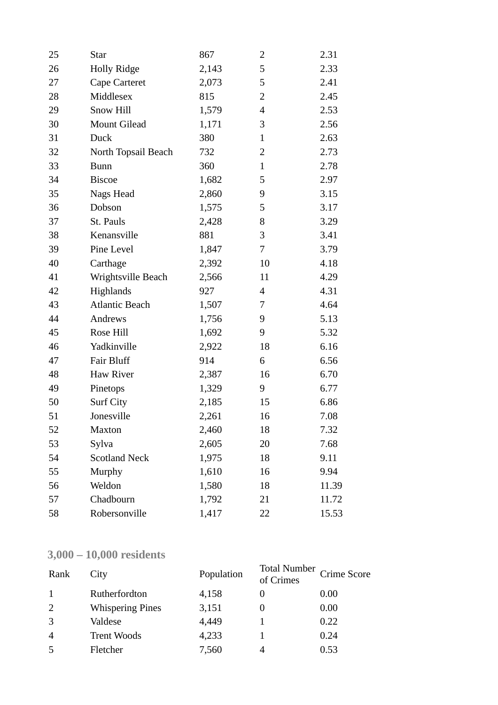| 25 | <b>Star</b>           | 867   | 2              | 2.31  |
|----|-----------------------|-------|----------------|-------|
| 26 | <b>Holly Ridge</b>    | 2,143 | 5              | 2.33  |
| 27 | Cape Carteret         | 2,073 | 5              | 2.41  |
| 28 | Middlesex             | 815   | $\overline{2}$ | 2.45  |
| 29 | Snow Hill             | 1,579 | $\overline{4}$ | 2.53  |
| 30 | Mount Gilead          | 1,171 | 3              | 2.56  |
| 31 | Duck                  | 380   | $\mathbf{1}$   | 2.63  |
| 32 | North Topsail Beach   | 732   | 2              | 2.73  |
| 33 | <b>Bunn</b>           | 360   | $\mathbf{1}$   | 2.78  |
| 34 | <b>Biscoe</b>         | 1,682 | 5              | 2.97  |
| 35 | Nags Head             | 2,860 | 9              | 3.15  |
| 36 | Dobson                | 1,575 | 5              | 3.17  |
| 37 | St. Pauls             | 2,428 | 8              | 3.29  |
| 38 | Kenansville           | 881   | 3              | 3.41  |
| 39 | Pine Level            | 1,847 | 7              | 3.79  |
| 40 | Carthage              | 2,392 | 10             | 4.18  |
| 41 | Wrightsville Beach    | 2,566 | 11             | 4.29  |
| 42 | Highlands             | 927   | 4              | 4.31  |
| 43 | <b>Atlantic Beach</b> | 1,507 | 7              | 4.64  |
| 44 | Andrews               | 1,756 | 9              | 5.13  |
| 45 | Rose Hill             | 1,692 | 9              | 5.32  |
| 46 | Yadkinville           | 2,922 | 18             | 6.16  |
| 47 | <b>Fair Bluff</b>     | 914   | 6              | 6.56  |
| 48 | Haw River             | 2,387 | 16             | 6.70  |
| 49 | Pinetops              | 1,329 | 9              | 6.77  |
| 50 | Surf City             | 2,185 | 15             | 6.86  |
| 51 | Jonesville            | 2,261 | 16             | 7.08  |
| 52 | <b>Maxton</b>         | 2,460 | 18             | 7.32  |
| 53 | Sylva                 | 2,605 | 20             | 7.68  |
| 54 | <b>Scotland Neck</b>  | 1,975 | 18             | 9.11  |
| 55 | Murphy                | 1,610 | 16             | 9.94  |
| 56 | Weldon                | 1,580 | 18             | 11.39 |
| 57 | Chadbourn             | 1,792 | 21             | 11.72 |
| 58 | Robersonville         | 1,417 | 22             | 15.53 |

## **3,000 – 10,000 residents**

| Rank           | City                    | Population | <b>Total Number</b><br>of Crimes | <b>Crime Score</b> |
|----------------|-------------------------|------------|----------------------------------|--------------------|
|                | Rutherfordton           | 4,158      |                                  | 0.00               |
| 2              | <b>Whispering Pines</b> | 3,151      |                                  | 0.00               |
| 3              | Valdese                 | 4,449      |                                  | 0.22               |
| $\overline{4}$ | <b>Trent Woods</b>      | 4,233      |                                  | 0.24               |
| 5              | Fletcher                | 7,560      |                                  | 0.53               |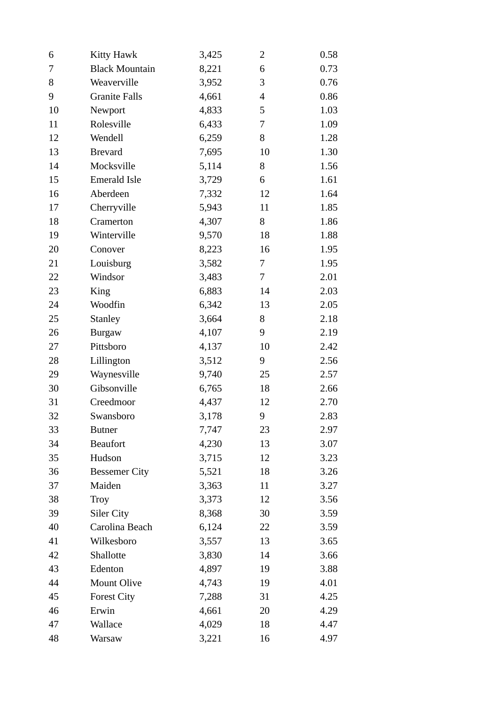| 6  | <b>Kitty Hawk</b>     | 3,425 | 2  | 0.58 |
|----|-----------------------|-------|----|------|
| 7  | <b>Black Mountain</b> | 8,221 | 6  | 0.73 |
| 8  | Weaverville           | 3,952 | 3  | 0.76 |
| 9  | <b>Granite Falls</b>  | 4,661 | 4  | 0.86 |
| 10 | Newport               | 4,833 | 5  | 1.03 |
| 11 | Rolesville            | 6,433 | 7  | 1.09 |
| 12 | Wendell               | 6,259 | 8  | 1.28 |
| 13 | <b>Brevard</b>        | 7,695 | 10 | 1.30 |
| 14 | Mocksville            | 5,114 | 8  | 1.56 |
| 15 | Emerald Isle          | 3,729 | 6  | 1.61 |
| 16 | Aberdeen              | 7,332 | 12 | 1.64 |
| 17 | Cherryville           | 5,943 | 11 | 1.85 |
| 18 | Cramerton             | 4,307 | 8  | 1.86 |
| 19 | Winterville           | 9,570 | 18 | 1.88 |
| 20 | Conover               | 8,223 | 16 | 1.95 |
| 21 | Louisburg             | 3,582 | 7  | 1.95 |
| 22 | Windsor               | 3,483 | 7  | 2.01 |
| 23 | King                  | 6,883 | 14 | 2.03 |
| 24 | Woodfin               | 6,342 | 13 | 2.05 |
| 25 | <b>Stanley</b>        | 3,664 | 8  | 2.18 |
| 26 | <b>Burgaw</b>         | 4,107 | 9  | 2.19 |
| 27 | Pittsboro             | 4,137 | 10 | 2.42 |
| 28 | Lillington            | 3,512 | 9  | 2.56 |
| 29 | Waynesville           | 9,740 | 25 | 2.57 |
| 30 | Gibsonville           | 6,765 | 18 | 2.66 |
| 31 | Creedmoor             | 4,437 | 12 | 2.70 |
| 32 | Swansboro             | 3,178 | 9  | 2.83 |
| 33 | <b>Butner</b>         | 7,747 | 23 | 2.97 |
| 34 | <b>Beaufort</b>       | 4,230 | 13 | 3.07 |
| 35 | Hudson                | 3,715 | 12 | 3.23 |
| 36 | <b>Bessemer City</b>  | 5,521 | 18 | 3.26 |
| 37 | Maiden                | 3,363 | 11 | 3.27 |
| 38 | Troy                  | 3,373 | 12 | 3.56 |
| 39 | <b>Siler City</b>     | 8,368 | 30 | 3.59 |
| 40 | Carolina Beach        | 6,124 | 22 | 3.59 |
| 41 | Wilkesboro            | 3,557 | 13 | 3.65 |
| 42 | Shallotte             | 3,830 | 14 | 3.66 |
| 43 | Edenton               | 4,897 | 19 | 3.88 |
| 44 | <b>Mount Olive</b>    | 4,743 | 19 | 4.01 |
| 45 | <b>Forest City</b>    | 7,288 | 31 | 4.25 |
| 46 | Erwin                 | 4,661 | 20 | 4.29 |
| 47 | Wallace               | 4,029 | 18 | 4.47 |
| 48 | Warsaw                | 3,221 | 16 | 4.97 |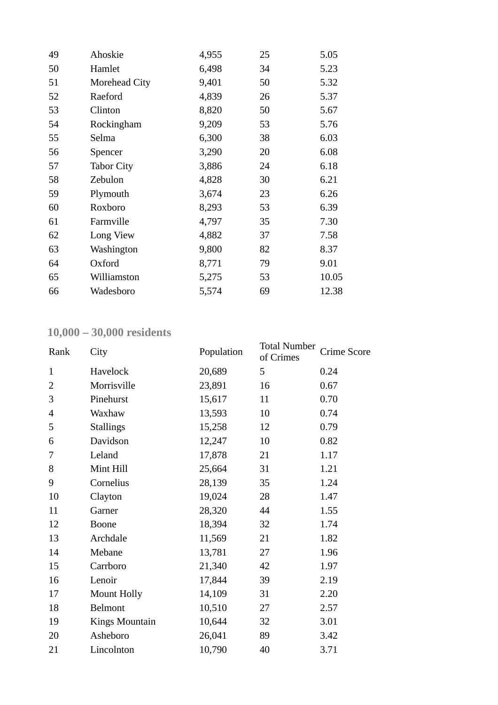| 49 | Ahoskie           | 4,955 | 25 | 5.05  |
|----|-------------------|-------|----|-------|
| 50 | Hamlet            | 6,498 | 34 | 5.23  |
| 51 | Morehead City     | 9,401 | 50 | 5.32  |
| 52 | Raeford           | 4,839 | 26 | 5.37  |
| 53 | Clinton           | 8,820 | 50 | 5.67  |
| 54 | Rockingham        | 9,209 | 53 | 5.76  |
| 55 | Selma             | 6,300 | 38 | 6.03  |
| 56 | Spencer           | 3,290 | 20 | 6.08  |
| 57 | <b>Tabor City</b> | 3,886 | 24 | 6.18  |
| 58 | Zebulon           | 4,828 | 30 | 6.21  |
| 59 | Plymouth          | 3,674 | 23 | 6.26  |
| 60 | Roxboro           | 8,293 | 53 | 6.39  |
| 61 | Farmville         | 4,797 | 35 | 7.30  |
| 62 | Long View         | 4,882 | 37 | 7.58  |
| 63 | Washington        | 9,800 | 82 | 8.37  |
| 64 | Oxford            | 8,771 | 79 | 9.01  |
| 65 | Williamston       | 5,275 | 53 | 10.05 |
| 66 | Wadesboro         | 5,574 | 69 | 12.38 |

## **10,000 – 30,000 residents**

| Rank           | City                  | Population | <b>Total Number</b><br>of Crimes | Crime Score |
|----------------|-----------------------|------------|----------------------------------|-------------|
| $\mathbf{1}$   | Havelock              | 20,689     | 5                                | 0.24        |
| $\overline{2}$ | Morrisville           | 23,891     | 16                               | 0.67        |
| 3              | Pinehurst             | 15,617     | 11                               | 0.70        |
| $\overline{4}$ | Waxhaw                | 13,593     | 10                               | 0.74        |
| 5              | <b>Stallings</b>      | 15,258     | 12                               | 0.79        |
| 6              | Davidson              | 12,247     | 10                               | 0.82        |
| 7              | Leland                | 17,878     | 21                               | 1.17        |
| 8              | Mint Hill             | 25,664     | 31                               | 1.21        |
| 9              | Cornelius             | 28,139     | 35                               | 1.24        |
| 10             | Clayton               | 19,024     | 28                               | 1.47        |
| 11             | Garner                | 28,320     | 44                               | 1.55        |
| 12             | <b>Boone</b>          | 18,394     | 32                               | 1.74        |
| 13             | Archdale              | 11,569     | 21                               | 1.82        |
| 14             | Mebane                | 13,781     | 27                               | 1.96        |
| 15             | Carrboro              | 21,340     | 42                               | 1.97        |
| 16             | Lenoir                | 17,844     | 39                               | 2.19        |
| 17             | Mount Holly           | 14,109     | 31                               | 2.20        |
| 18             | <b>Belmont</b>        | 10,510     | 27                               | 2.57        |
| 19             | <b>Kings Mountain</b> | 10,644     | 32                               | 3.01        |
| 20             | Asheboro              | 26,041     | 89                               | 3.42        |
| 21             | Lincolnton            | 10,790     | 40                               | 3.71        |